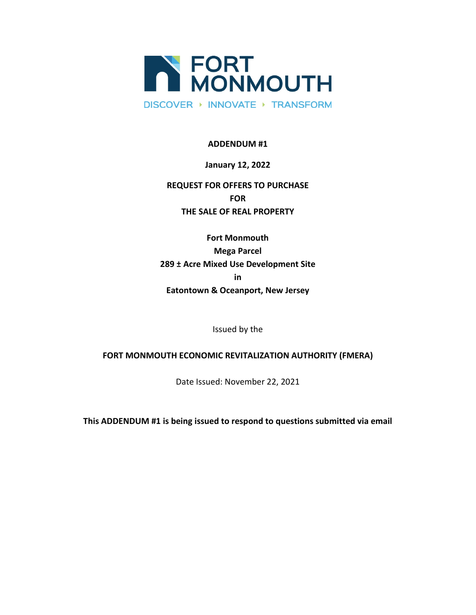

### **ADDENDUM #1**

### **January 12, 2022**

# **REQUEST FOR OFFERS TO PURCHASE FOR THE SALE OF REAL PROPERTY**

**Fort Monmouth Mega Parcel 289 ± Acre Mixed Use Development Site in Eatontown & Oceanport, New Jersey**

Issued by the

## **FORT MONMOUTH ECONOMIC REVITALIZATION AUTHORITY (FMERA)**

Date Issued: November 22, 2021

**This ADDENDUM #1 is being issued to respond to questions submitted via email**